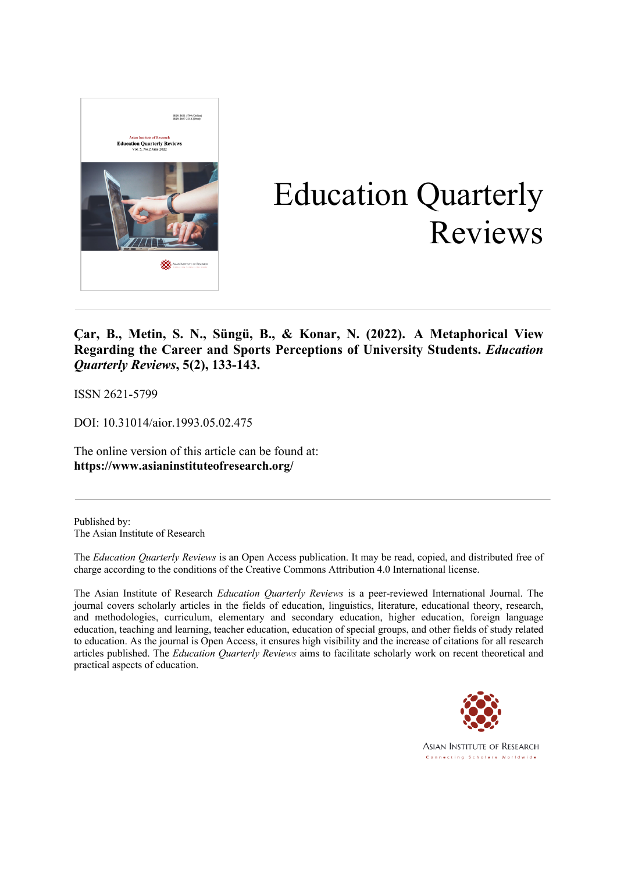

# Education Quarterly Reviews

**Çar, B., Metin, S. N., Süngü, B., & Konar, N. (2022). A Metaphorical View Regarding the Career and Sports Perceptions of University Students.** *Education Quarterly Reviews***, 5(2), 133-143.**

ISSN 2621-5799

DOI: 10.31014/aior.1993.05.02.475

The online version of this article can be found at: **https://www.asianinstituteofresearch.org/**

Published by: The Asian Institute of Research

The *Education Quarterly Reviews* is an Open Access publication. It may be read, copied, and distributed free of charge according to the conditions of the Creative Commons Attribution 4.0 International license.

The Asian Institute of Research *Education Quarterly Reviews* is a peer-reviewed International Journal. The journal covers scholarly articles in the fields of education, linguistics, literature, educational theory, research, and methodologies, curriculum, elementary and secondary education, higher education, foreign language education, teaching and learning, teacher education, education of special groups, and other fields of study related to education. As the journal is Open Access, it ensures high visibility and the increase of citations for all research articles published. The *Education Quarterly Reviews* aims to facilitate scholarly work on recent theoretical and practical aspects of education.



**ASIAN INSTITUTE OF RESEARCH** Connecting Scholars Worldwide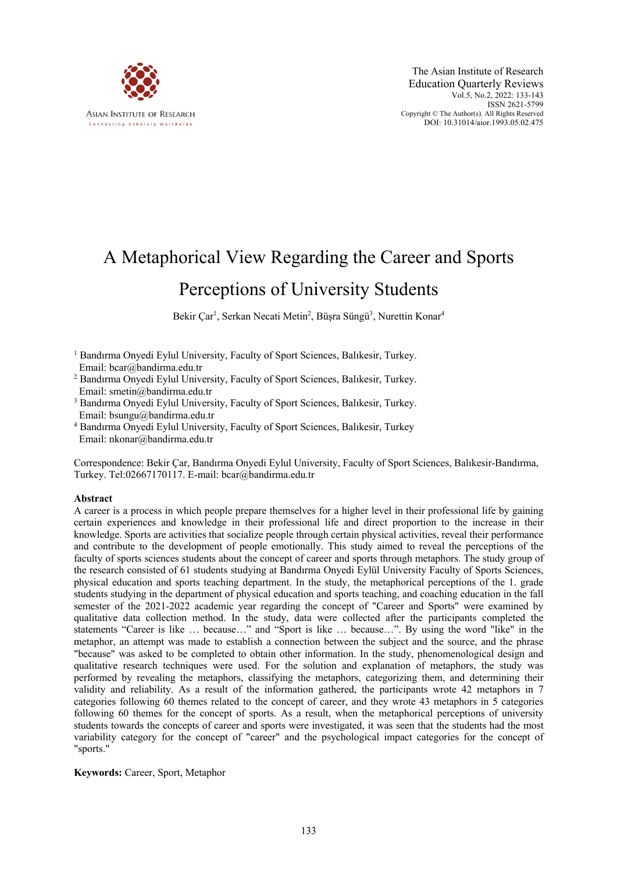

# A Metaphorical View Regarding the Career and Sports Perceptions of University Students

Bekir Çar<sup>1</sup>, Serkan Necati Metin<sup>2</sup>, Büşra Süngü<sup>3</sup>, Nurettin Konar<sup>4</sup>

- <sup>1</sup> Bandırma Onyedi Eylul University, Faculty of Sport Sciences, Balıkesir, Turkey. Email: bcar@bandirma.edu.tr
- <sup>2</sup> Bandırma Onyedi Eylul University, Faculty of Sport Sciences, Balıkesir, Turkey. Email: smetin@bandirma.edu.tr
- <sup>3</sup> Bandırma Onyedi Eylul University, Faculty of Sport Sciences, Balıkesir, Turkey. Email: bsungu@bandirma.edu.tr
- <sup>4</sup> Bandırma Onyedi Eylul University, Faculty of Sport Sciences, Balıkesir, Turkey Email: nkonar@bandirma.edu.tr

Correspondence: Bekir Çar, Bandırma Onyedi Eylul University, Faculty of Sport Sciences, Balıkesir-Bandırma, Turkey. Tel:02667170117. E-mail: bcar@bandirma.edu.tr

#### **Abstract**

A career is a process in which people prepare themselves for a higher level in their professional life by gaining certain experiences and knowledge in their professional life and direct proportion to the increase in their knowledge. Sports are activities that socialize people through certain physical activities, reveal their performance and contribute to the development of people emotionally. This study aimed to reveal the perceptions of the faculty of sports sciences students about the concept of career and sports through metaphors. The study group of the research consisted of 61 students studying at Bandırma Onyedi Eylül University Faculty of Sports Sciences, physical education and sports teaching department. In the study, the metaphorical perceptions of the 1. grade students studying in the department of physical education and sports teaching, and coaching education in the fall semester of the 2021-2022 academic year regarding the concept of "Career and Sports" were examined by qualitative data collection method. In the study, data were collected after the participants completed the statements "Career is like … because…" and "Sport is like … because…". By using the word "like" in the metaphor, an attempt was made to establish a connection between the subject and the source, and the phrase "because" was asked to be completed to obtain other information. In the study, phenomenological design and qualitative research techniques were used. For the solution and explanation of metaphors, the study was performed by revealing the metaphors, classifying the metaphors, categorizing them, and determining their validity and reliability. As a result of the information gathered, the participants wrote 42 metaphors in 7 categories following 60 themes related to the concept of career, and they wrote 43 metaphors in 5 categories following 60 themes for the concept of sports. As a result, when the metaphorical perceptions of university students towards the concepts of career and sports were investigated, it was seen that the students had the most variability category for the concept of "career" and the psychological impact categories for the concept of "sports."

#### **Keywords:** Career, Sport, Metaphor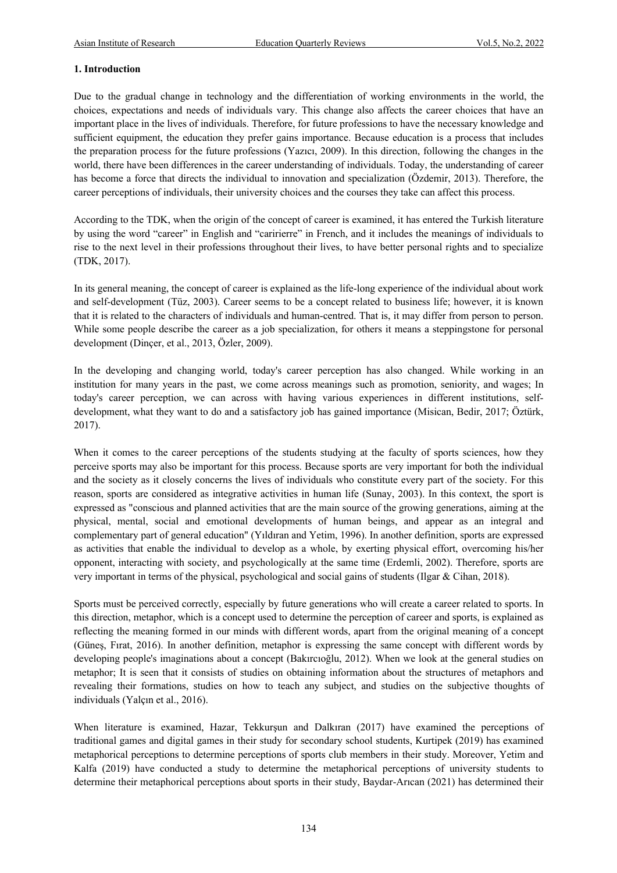# **1. Introduction**

Due to the gradual change in technology and the differentiation of working environments in the world, the choices, expectations and needs of individuals vary. This change also affects the career choices that have an important place in the lives of individuals. Therefore, for future professions to have the necessary knowledge and sufficient equipment, the education they prefer gains importance. Because education is a process that includes the preparation process for the future professions (Yazıcı, 2009). In this direction, following the changes in the world, there have been differences in the career understanding of individuals. Today, the understanding of career has become a force that directs the individual to innovation and specialization (Özdemir, 2013). Therefore, the career perceptions of individuals, their university choices and the courses they take can affect this process.

According to the TDK, when the origin of the concept of career is examined, it has entered the Turkish literature by using the word "career" in English and "caririerre" in French, and it includes the meanings of individuals to rise to the next level in their professions throughout their lives, to have better personal rights and to specialize (TDK, 2017).

In its general meaning, the concept of career is explained as the life-long experience of the individual about work and self-development (Tüz, 2003). Career seems to be a concept related to business life; however, it is known that it is related to the characters of individuals and human-centred. That is, it may differ from person to person. While some people describe the career as a job specialization, for others it means a steppingstone for personal development (Dinçer, et al., 2013, Özler, 2009).

In the developing and changing world, today's career perception has also changed. While working in an institution for many years in the past, we come across meanings such as promotion, seniority, and wages; In today's career perception, we can across with having various experiences in different institutions, selfdevelopment, what they want to do and a satisfactory job has gained importance (Misican, Bedir, 2017; Öztürk, 2017).

When it comes to the career perceptions of the students studying at the faculty of sports sciences, how they perceive sports may also be important for this process. Because sports are very important for both the individual and the society as it closely concerns the lives of individuals who constitute every part of the society. For this reason, sports are considered as integrative activities in human life (Sunay, 2003). In this context, the sport is expressed as "conscious and planned activities that are the main source of the growing generations, aiming at the physical, mental, social and emotional developments of human beings, and appear as an integral and complementary part of general education" (Yıldıran and Yetim, 1996). In another definition, sports are expressed as activities that enable the individual to develop as a whole, by exerting physical effort, overcoming his/her opponent, interacting with society, and psychologically at the same time (Erdemli, 2002). Therefore, sports are very important in terms of the physical, psychological and social gains of students (Ilgar & Cihan, 2018).

Sports must be perceived correctly, especially by future generations who will create a career related to sports. In this direction, metaphor, which is a concept used to determine the perception of career and sports, is explained as reflecting the meaning formed in our minds with different words, apart from the original meaning of a concept (Güneş, Fırat, 2016). In another definition, metaphor is expressing the same concept with different words by developing people's imaginations about a concept (Bakırcıoğlu, 2012). When we look at the general studies on metaphor; It is seen that it consists of studies on obtaining information about the structures of metaphors and revealing their formations, studies on how to teach any subject, and studies on the subjective thoughts of individuals (Yalçın et al., 2016).

When literature is examined, Hazar, Tekkurşun and Dalkıran (2017) have examined the perceptions of traditional games and digital games in their study for secondary school students, Kurtipek (2019) has examined metaphorical perceptions to determine perceptions of sports club members in their study. Moreover, Yetim and Kalfa (2019) have conducted a study to determine the metaphorical perceptions of university students to determine their metaphorical perceptions about sports in their study, Baydar-Arıcan (2021) has determined their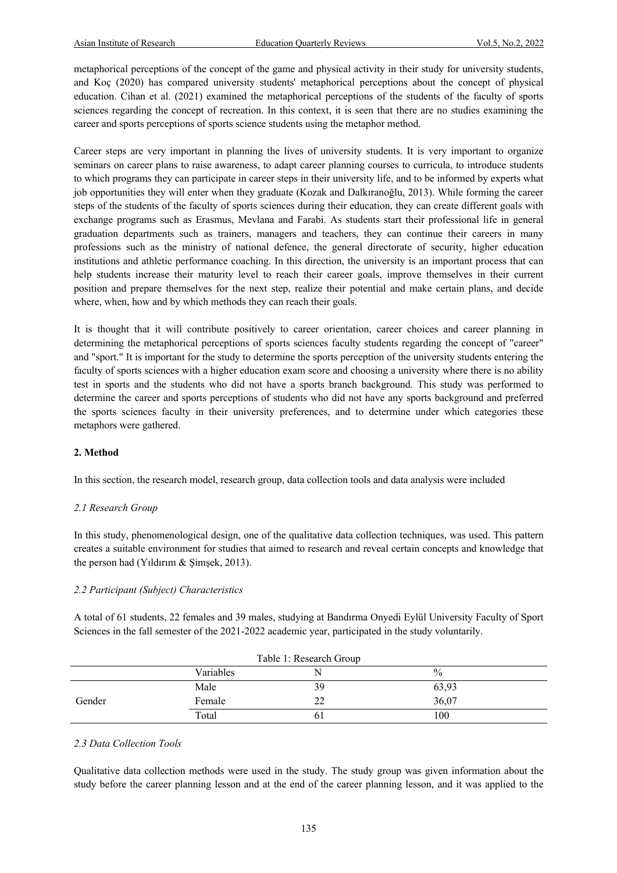metaphorical perceptions of the concept of the game and physical activity in their study for university students, and Koç (2020) has compared university students' metaphorical perceptions about the concept of physical education. Cihan et al. (2021) examined the metaphorical perceptions of the students of the faculty of sports sciences regarding the concept of recreation. In this context, it is seen that there are no studies examining the career and sports perceptions of sports science students using the metaphor method.

Career steps are very important in planning the lives of university students. It is very important to organize seminars on career plans to raise awareness, to adapt career planning courses to curricula, to introduce students to which programs they can participate in career steps in their university life, and to be informed by experts what job opportunities they will enter when they graduate (Kozak and Dalkıranoğlu, 2013). While forming the career steps of the students of the faculty of sports sciences during their education, they can create different goals with exchange programs such as Erasmus, Mevlana and Farabi. As students start their professional life in general graduation departments such as trainers, managers and teachers, they can continue their careers in many professions such as the ministry of national defence, the general directorate of security, higher education institutions and athletic performance coaching. In this direction, the university is an important process that can help students increase their maturity level to reach their career goals, improve themselves in their current position and prepare themselves for the next step, realize their potential and make certain plans, and decide where, when, how and by which methods they can reach their goals.

It is thought that it will contribute positively to career orientation, career choices and career planning in determining the metaphorical perceptions of sports sciences faculty students regarding the concept of "career" and "sport." It is important for the study to determine the sports perception of the university students entering the faculty of sports sciences with a higher education exam score and choosing a university where there is no ability test in sports and the students who did not have a sports branch background. This study was performed to determine the career and sports perceptions of students who did not have any sports background and preferred the sports sciences faculty in their university preferences, and to determine under which categories these metaphors were gathered.

#### **2. Method**

In this section, the research model, research group, data collection tools and data analysis were included

#### *2.1 Research Group*

In this study, phenomenological design, one of the qualitative data collection techniques, was used. This pattern creates a suitable environment for studies that aimed to research and reveal certain concepts and knowledge that the person had (Yıldırım & Şimşek, 2013).

#### *2.2 Participant (Subject) Characteristics*

A total of 61 students, 22 females and 39 males, studying at Bandırma Onyedi Eylül University Faculty of Sport Sciences in the fall semester of the 2021-2022 academic year, participated in the study voluntarily.

| Table 1: Research Group |           |               |               |
|-------------------------|-----------|---------------|---------------|
|                         | Variables | N             | $\frac{0}{0}$ |
|                         | Male      | 39            | 63,93         |
| Gender                  | Female    | $\mathcal{D}$ | 36,07         |
|                         | Total     |               | 100           |

#### *2.3 Data Collection Tools*

Qualitative data collection methods were used in the study. The study group was given information about the study before the career planning lesson and at the end of the career planning lesson, and it was applied to the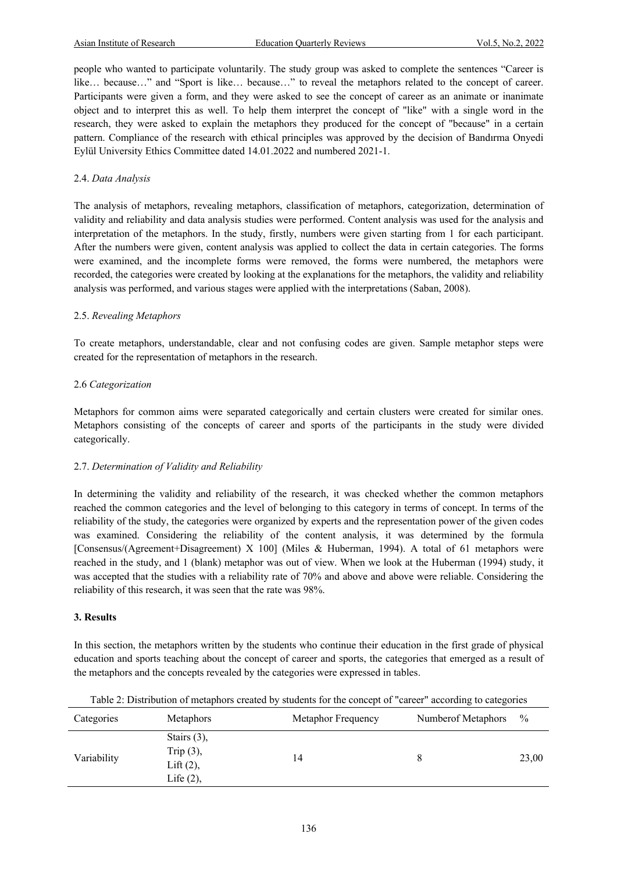people who wanted to participate voluntarily. The study group was asked to complete the sentences "Career is like… because…" and "Sport is like… because…" to reveal the metaphors related to the concept of career. Participants were given a form, and they were asked to see the concept of career as an animate or inanimate object and to interpret this as well. To help them interpret the concept of "like" with a single word in the research, they were asked to explain the metaphors they produced for the concept of "because" in a certain pattern. Compliance of the research with ethical principles was approved by the decision of Bandırma Onyedi Eylül University Ethics Committee dated 14.01.2022 and numbered 2021-1.

# 2.4. *Data Analysis*

The analysis of metaphors, revealing metaphors, classification of metaphors, categorization, determination of validity and reliability and data analysis studies were performed. Content analysis was used for the analysis and interpretation of the metaphors. In the study, firstly, numbers were given starting from 1 for each participant. After the numbers were given, content analysis was applied to collect the data in certain categories. The forms were examined, and the incomplete forms were removed, the forms were numbered, the metaphors were recorded, the categories were created by looking at the explanations for the metaphors, the validity and reliability analysis was performed, and various stages were applied with the interpretations (Saban, 2008).

### 2.5. *Revealing Metaphors*

To create metaphors, understandable, clear and not confusing codes are given. Sample metaphor steps were created for the representation of metaphors in the research.

### 2.6 *Categorization*

Metaphors for common aims were separated categorically and certain clusters were created for similar ones. Metaphors consisting of the concepts of career and sports of the participants in the study were divided categorically.

# 2.7. *Determination of Validity and Reliability*

In determining the validity and reliability of the research, it was checked whether the common metaphors reached the common categories and the level of belonging to this category in terms of concept. In terms of the reliability of the study, the categories were organized by experts and the representation power of the given codes was examined. Considering the reliability of the content analysis, it was determined by the formula [Consensus/(Agreement+Disagreement) X 100] (Miles & Huberman, 1994). A total of 61 metaphors were reached in the study, and 1 (blank) metaphor was out of view. When we look at the Huberman (1994) study, it was accepted that the studies with a reliability rate of 70% and above and above were reliable. Considering the reliability of this research, it was seen that the rate was 98%.

#### **3. Results**

In this section, the metaphors written by the students who continue their education in the first grade of physical education and sports teaching about the concept of career and sports, the categories that emerged as a result of the metaphors and the concepts revealed by the categories were expressed in tables.

| Categories  | Metaphors                                                      | Metaphor Frequency | Numberof Metaphors | $\%$  |
|-------------|----------------------------------------------------------------|--------------------|--------------------|-------|
| Variability | Stairs $(3)$ ,<br>Trip $(3)$ ,<br>Lift $(2)$ ,<br>Life $(2)$ , | 14                 |                    | 23,00 |
|             |                                                                |                    |                    |       |

Table 2: Distribution of metaphors created by students for the concept of "career" according to categories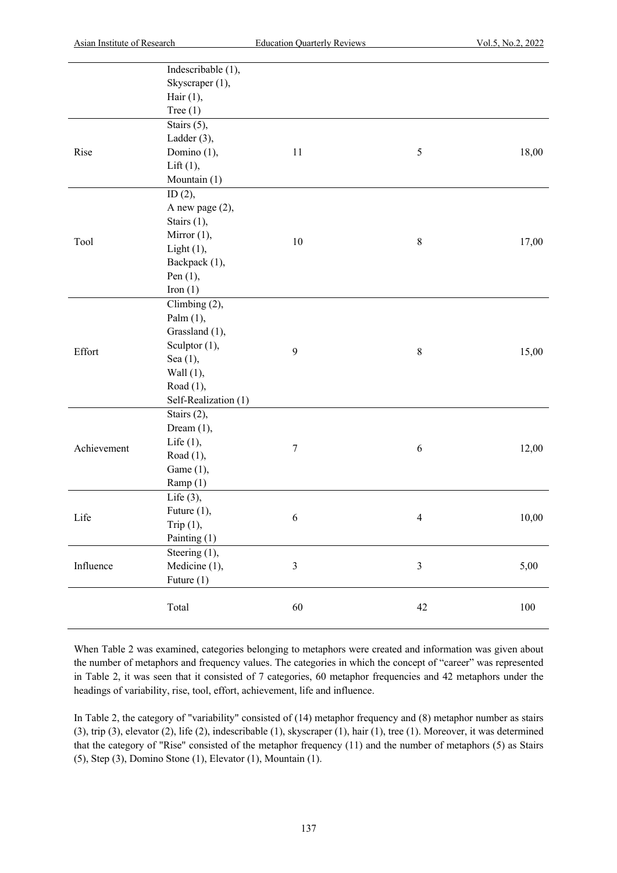|             | Indescribable (1),   |                  |                |       |
|-------------|----------------------|------------------|----------------|-------|
|             | Skyscraper (1),      |                  |                |       |
|             | Hair $(1)$ ,         |                  |                |       |
|             | Tree $(1)$           |                  |                |       |
|             | Stairs (5),          |                  |                |       |
|             | Ladder (3),          |                  |                |       |
| Rise        | Domino (1),          | 11               | $\mathfrak{S}$ | 18,00 |
|             | Lift $(1)$ ,         |                  |                |       |
|             | Mountain (1)         |                  |                |       |
|             | ID $(2)$ ,           |                  |                |       |
|             | A new page (2),      |                  |                |       |
|             | Stairs (1),          |                  |                |       |
|             | Mirror $(1)$ ,       |                  |                |       |
| Tool        | Light $(1)$ ,        | 10               | $8\,$          | 17,00 |
|             | Backpack (1),        |                  |                |       |
|             | Pen $(1)$ ,          |                  |                |       |
|             | Iron $(1)$           |                  |                |       |
|             | Climbing (2),        |                  |                |       |
|             | Palm $(1)$ ,         | 9                |                |       |
|             | Grassland (1),       |                  |                |       |
|             | Sculptor (1),        |                  |                |       |
| Effort      | Sea (1),             |                  | $8\,$          | 15,00 |
|             | Wall $(1)$ ,         |                  |                |       |
|             | Road (1),            |                  |                |       |
|             | Self-Realization (1) |                  |                |       |
|             | Stairs (2),          | $\boldsymbol{7}$ |                |       |
|             | Dream $(1)$ ,        |                  |                |       |
|             | Life $(1)$ ,         |                  |                |       |
| Achievement | Road $(1)$ ,         |                  | 6              | 12,00 |
|             | Game (1),            |                  |                |       |
|             | Ramp(1)              |                  |                |       |
|             | Life $(3)$ ,         |                  |                |       |
| Life        | Future (1),          | 6                |                |       |
|             | Trip $(1)$ ,         |                  | $\overline{4}$ | 10,00 |
|             | Painting (1)         |                  |                |       |
| Influence   | Steering (1),        |                  |                |       |
|             | Medicine (1),        | $\mathfrak{Z}$   | $\mathfrak{Z}$ | 5,00  |
|             | Future $(1)$         |                  |                |       |
|             |                      |                  |                |       |
|             | Total                | 60               | 42             | 100   |
|             |                      |                  |                |       |

When Table 2 was examined, categories belonging to metaphors were created and information was given about the number of metaphors and frequency values. The categories in which the concept of "career" was represented in Table 2, it was seen that it consisted of 7 categories, 60 metaphor frequencies and 42 metaphors under the headings of variability, rise, tool, effort, achievement, life and influence.

In Table 2, the category of "variability" consisted of (14) metaphor frequency and (8) metaphor number as stairs (3), trip (3), elevator (2), life (2), indescribable (1), skyscraper (1), hair (1), tree (1). Moreover, it was determined that the category of "Rise" consisted of the metaphor frequency (11) and the number of metaphors (5) as Stairs (5), Step (3), Domino Stone (1), Elevator (1), Mountain (1).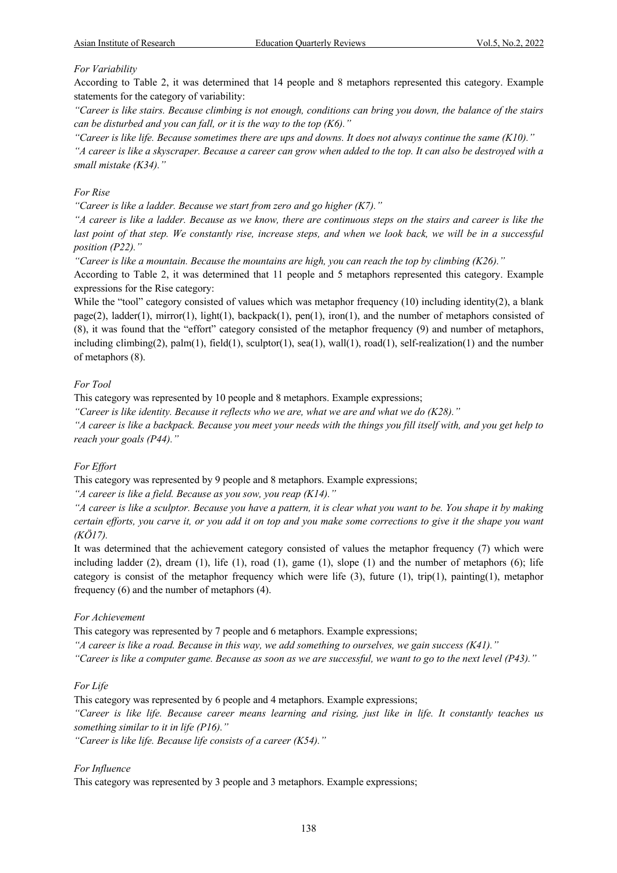# *For Variability*

According to Table 2, it was determined that 14 people and 8 metaphors represented this category. Example statements for the category of variability:

*"Career is like stairs. Because climbing is not enough, conditions can bring you down, the balance of the stairs can be disturbed and you can fall, or it is the way to the top (K6)."*

*"Career is like life. Because sometimes there are ups and downs. It does not always continue the same (K10)."*

*"A career is like a skyscraper. Because a career can grow when added to the top. It can also be destroyed with a small mistake (K34)."*

### *For Rise*

*"Career is like a ladder. Because we start from zero and go higher (K7)."*

*"A career is like a ladder. Because as we know, there are continuous steps on the stairs and career is like the last point of that step. We constantly rise, increase steps, and when we look back, we will be in a successful position (P22)."*

*"Career is like a mountain. Because the mountains are high, you can reach the top by climbing (K26)."*

According to Table 2, it was determined that 11 people and 5 metaphors represented this category. Example expressions for the Rise category:

While the "tool" category consisted of values which was metaphor frequency (10) including identity(2), a blank page(2), ladder(1), mirror(1), light(1), backpack(1), pen(1), iron(1), and the number of metaphors consisted of (8), it was found that the "effort" category consisted of the metaphor frequency (9) and number of metaphors, including climbing(2),  $palm(1)$ , field(1), sculptor(1), sea(1), wall(1), road(1), self-realization(1) and the number of metaphors (8).

### *For Tool*

This category was represented by 10 people and 8 metaphors. Example expressions;

*"Career is like identity. Because it reflects who we are, what we are and what we do (K28)."*

*"A career is like a backpack. Because you meet your needs with the things you fill itself with, and you get help to reach your goals (P44)."*

# *For Effort*

This category was represented by 9 people and 8 metaphors. Example expressions;

*"A career is like a field. Because as you sow, you reap (K14)."*

*"A career is like a sculptor. Because you have a pattern, it is clear what you want to be. You shape it by making certain efforts, you carve it, or you add it on top and you make some corrections to give it the shape you want (KÖ17).*

It was determined that the achievement category consisted of values the metaphor frequency (7) which were including ladder (2), dream (1), life (1), road (1), game (1), slope (1) and the number of metaphors (6); life category is consist of the metaphor frequency which were life  $(3)$ , future  $(1)$ ,  $trip(1)$ ,  $painting(1)$ , metaphor frequency (6) and the number of metaphors (4).

#### *For Achievement*

This category was represented by 7 people and 6 metaphors. Example expressions;

*"A career is like a road. Because in this way, we add something to ourselves, we gain success (K41)."*

*"Career is like a computer game. Because as soon as we are successful, we want to go to the next level (P43)."*

#### *For Life*

This category was represented by 6 people and 4 metaphors. Example expressions;

*"Career is like life. Because career means learning and rising, just like in life. It constantly teaches us something similar to it in life (P16)."*

*"Career is like life. Because life consists of a career (K54)."*

### *For Influence*

This category was represented by 3 people and 3 metaphors. Example expressions;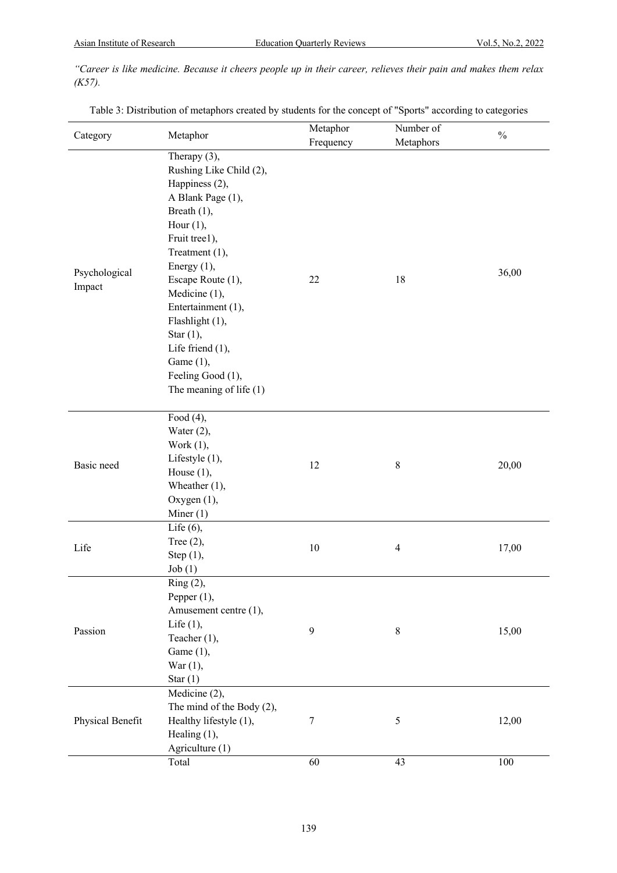*"Career is like medicine. Because it cheers people up in their career, relieves their pain and makes them relax (K57).*

| Table 3: Distribution of metaphors created by students for the concept of "Sports" according to categories |  |  |
|------------------------------------------------------------------------------------------------------------|--|--|
|                                                                                                            |  |  |
|                                                                                                            |  |  |
|                                                                                                            |  |  |

| Category                | Metaphor                                                                                                                                                                                                                                                                                                                                                         | Metaphor  | Number of               | $\frac{0}{0}$ |  |
|-------------------------|------------------------------------------------------------------------------------------------------------------------------------------------------------------------------------------------------------------------------------------------------------------------------------------------------------------------------------------------------------------|-----------|-------------------------|---------------|--|
|                         |                                                                                                                                                                                                                                                                                                                                                                  | Frequency | Metaphors               |               |  |
| Psychological<br>Impact | Therapy $(3)$ ,<br>Rushing Like Child (2),<br>Happiness (2),<br>A Blank Page (1),<br>Breath $(1)$ ,<br>Hour $(1)$ ,<br>Fruit tree1),<br>Treatment (1),<br>Energy $(1)$ ,<br>Escape Route (1),<br>Medicine (1),<br>Entertainment (1),<br>Flashlight (1),<br>Star $(1)$ ,<br>Life friend $(1)$ ,<br>Game $(1)$ ,<br>Feeling Good (1),<br>The meaning of life $(1)$ | 22        | 18                      | 36,00         |  |
| Basic need              | Food $(4)$ ,<br>Water $(2)$ ,<br>Work $(1)$ ,<br>Lifestyle (1),<br>House $(1)$ ,<br>Wheather $(1)$ ,<br>Oxygen (1),<br>Miner $(1)$                                                                                                                                                                                                                               | 12        | $8\,$                   | 20,00         |  |
| Life                    | Life $(6)$ ,<br>Tree $(2)$ ,<br>Step $(1)$ ,<br>Job(1)                                                                                                                                                                                                                                                                                                           | 10        | $\overline{\mathbf{4}}$ | 17,00         |  |
| Passion                 | Ring (2),<br>Pepper $(1)$ ,<br>Amusement centre (1),<br>Life $(1)$ ,<br>Teacher (1),<br>Game $(1)$ ,<br>War $(1)$ ,<br>Star $(1)$                                                                                                                                                                                                                                | 9         | $\,8\,$                 | 15,00         |  |
| Physical Benefit        | Medicine (2),<br>The mind of the Body (2),<br>Healthy lifestyle (1),<br>Healing $(1)$ ,<br>Agriculture (1)                                                                                                                                                                                                                                                       | 7         | $\mathfrak s$           | 12,00         |  |
|                         | Total                                                                                                                                                                                                                                                                                                                                                            | 60        | 43                      | 100           |  |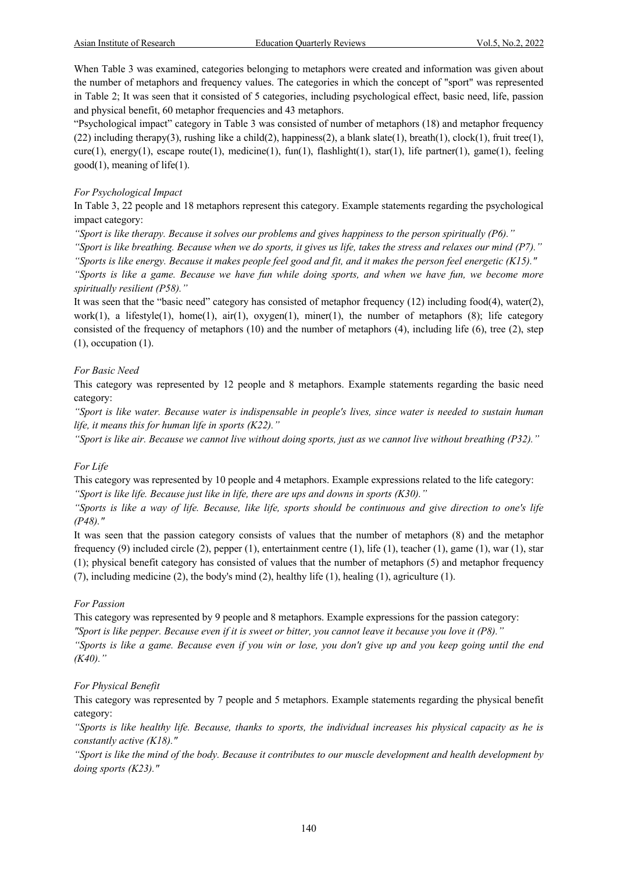When Table 3 was examined, categories belonging to metaphors were created and information was given about the number of metaphors and frequency values. The categories in which the concept of "sport" was represented in Table 2; It was seen that it consisted of 5 categories, including psychological effect, basic need, life, passion and physical benefit, 60 metaphor frequencies and 43 metaphors.

"Psychological impact" category in Table 3 was consisted of number of metaphors (18) and metaphor frequency (22) including therapy(3), rushing like a child(2), happiness(2), a blank slate(1), breath(1), clock(1), fruit tree(1), cure(1), energy(1), escape route(1), medicine(1), fun(1), flashlight(1), star(1), life partner(1), game(1), feeling good(1), meaning of life(1).

# *For Psychological Impact*

In Table 3, 22 people and 18 metaphors represent this category. Example statements regarding the psychological impact category:

*"Sport is like therapy. Because it solves our problems and gives happiness to the person spiritually (P6)."*

*"Sport is like breathing. Because when we do sports, it gives us life, takes the stress and relaxes our mind (P7)." "Sports is like energy. Because it makes people feel good and fit, and it makes the person feel energetic (K15)."*

*"Sports is like a game. Because we have fun while doing sports, and when we have fun, we become more spiritually resilient (P58)."*

It was seen that the "basic need" category has consisted of metaphor frequency (12) including food(4), water(2), work(1), a lifestyle(1), home(1),  $air(1)$ ,  $oxygen(1)$ , miner(1), the number of metaphors (8); life category consisted of the frequency of metaphors (10) and the number of metaphors (4), including life (6), tree (2), step (1), occupation (1).

### *For Basic Need*

This category was represented by 12 people and 8 metaphors. Example statements regarding the basic need category:

*"Sport is like water. Because water is indispensable in people's lives, since water is needed to sustain human life, it means this for human life in sports (K22)."*

*"Sport is like air. Because we cannot live without doing sports, just as we cannot live without breathing (P32)."*

# *For Life*

This category was represented by 10 people and 4 metaphors. Example expressions related to the life category: *"Sport is like life. Because just like in life, there are ups and downs in sports (K30)."*

*"Sports is like a way of life. Because, like life, sports should be continuous and give direction to one's life (P48)."*

It was seen that the passion category consists of values that the number of metaphors (8) and the metaphor frequency (9) included circle (2), pepper (1), entertainment centre (1), life (1), teacher (1), game (1), war (1), star (1); physical benefit category has consisted of values that the number of metaphors (5) and metaphor frequency (7), including medicine (2), the body's mind (2), healthy life (1), healing (1), agriculture (1).

#### *For Passion*

This category was represented by 9 people and 8 metaphors. Example expressions for the passion category: *"Sport is like pepper. Because even if it is sweet or bitter, you cannot leave it because you love it (P8)." "Sports is like a game. Because even if you win or lose, you don't give up and you keep going until the end (K40)."*

# *For Physical Benefit*

This category was represented by 7 people and 5 metaphors. Example statements regarding the physical benefit category:

*"Sports is like healthy life. Because, thanks to sports, the individual increases his physical capacity as he is constantly active (K18)."* 

*"Sport is like the mind of the body. Because it contributes to our muscle development and health development by doing sports (K23)."*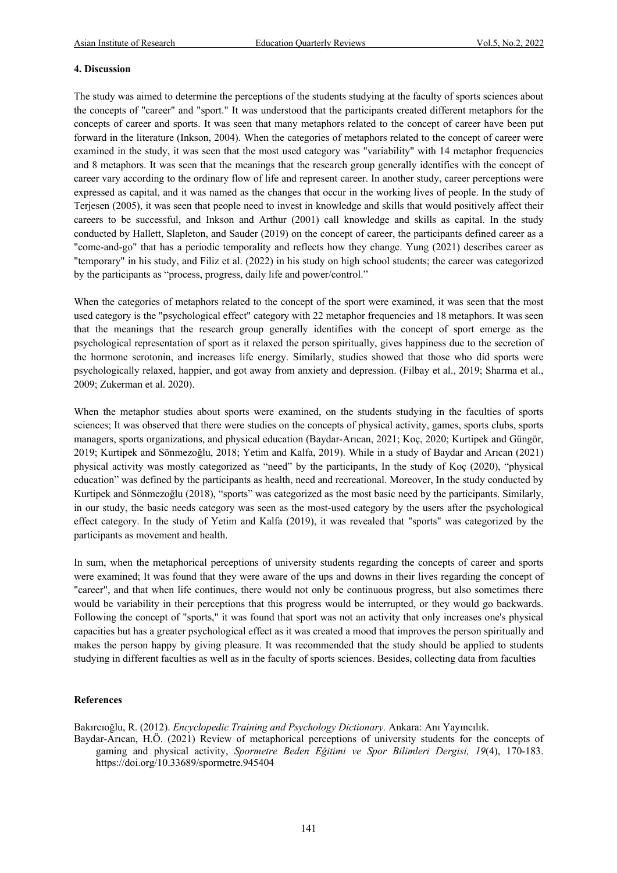### **4. Discussion**

The study was aimed to determine the perceptions of the students studying at the faculty of sports sciences about the concepts of "career" and "sport." It was understood that the participants created different metaphors for the concepts of career and sports. It was seen that many metaphors related to the concept of career have been put forward in the literature (Inkson, 2004). When the categories of metaphors related to the concept of career were examined in the study, it was seen that the most used category was "variability" with 14 metaphor frequencies and 8 metaphors. It was seen that the meanings that the research group generally identifies with the concept of career vary according to the ordinary flow of life and represent career. In another study, career perceptions were expressed as capital, and it was named as the changes that occur in the working lives of people. In the study of Terjesen (2005), it was seen that people need to invest in knowledge and skills that would positively affect their careers to be successful, and Inkson and Arthur (2001) call knowledge and skills as capital. In the study conducted by Hallett, Slapleton, and Sauder (2019) on the concept of career, the participants defined career as a "come-and-go" that has a periodic temporality and reflects how they change. Yung (2021) describes career as "temporary" in his study, and Filiz et al. (2022) in his study on high school students; the career was categorized by the participants as "process, progress, daily life and power/control."

When the categories of metaphors related to the concept of the sport were examined, it was seen that the most used category is the "psychological effect" category with 22 metaphor frequencies and 18 metaphors. It was seen that the meanings that the research group generally identifies with the concept of sport emerge as the psychological representation of sport as it relaxed the person spiritually, gives happiness due to the secretion of the hormone serotonin, and increases life energy. Similarly, studies showed that those who did sports were psychologically relaxed, happier, and got away from anxiety and depression. (Filbay et al., 2019; Sharma et al., 2009; Zukerman et al. 2020).

When the metaphor studies about sports were examined, on the students studying in the faculties of sports sciences; It was observed that there were studies on the concepts of physical activity, games, sports clubs, sports managers, sports organizations, and physical education (Baydar-Arıcan, 2021; Koç, 2020; Kurtipek and Güngör, 2019; Kurtipek and Sönmezoğlu, 2018; Yetim and Kalfa, 2019). While in a study of Baydar and Arıcan (2021) physical activity was mostly categorized as "need" by the participants, In the study of Koç (2020), "physical education" was defined by the participants as health, need and recreational. Moreover, In the study conducted by Kurtipek and Sönmezoğlu (2018), "sports" was categorized as the most basic need by the participants. Similarly, in our study, the basic needs category was seen as the most-used category by the users after the psychological effect category. In the study of Yetim and Kalfa (2019), it was revealed that "sports" was categorized by the participants as movement and health.

In sum, when the metaphorical perceptions of university students regarding the concepts of career and sports were examined; It was found that they were aware of the ups and downs in their lives regarding the concept of "career", and that when life continues, there would not only be continuous progress, but also sometimes there would be variability in their perceptions that this progress would be interrupted, or they would go backwards. Following the concept of "sports," it was found that sport was not an activity that only increases one's physical capacities but has a greater psychological effect as it was created a mood that improves the person spiritually and makes the person happy by giving pleasure. It was recommended that the study should be applied to students studying in different faculties as well as in the faculty of sports sciences. Besides, collecting data from faculties

# **References**

Bakırcıoğlu, R. (2012). *Encyclopedic Training and Psychology Dictionary.* Ankara: Anı Yayıncılık. Baydar-Arıcan, H.Ö. (2021) Review of metaphorical perceptions of university students for the concepts of

gaming and physical activity, *Spormetre Beden Eğitimi ve Spor Bilimleri Dergisi, 19*(4), 170-183. https://doi.org/10.33689/spormetre.945404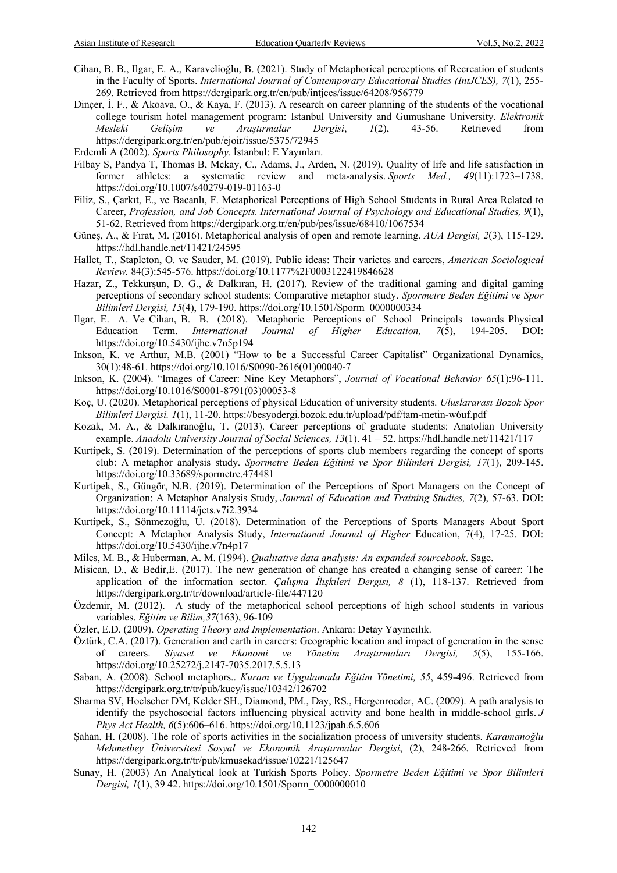- Cihan, B. B., Ilgar, E. A., Karavelioğlu, B. (2021). Study of Metaphorical perceptions of Recreation of students in the Faculty of Sports. *International Journal of Contemporary Educational Studies (IntJCES), 7*(1), 255- 269. Retrieved from https://dergipark.org.tr/en/pub/intjces/issue/64208/956779
- Dinçer, İ. F., & Akoava, O., & Kaya, F. (2013). A research on career planning of the students of the vocational college tourism hotel management program: Istanbul University and Gumushane University. *Elektronik Mesleki Gelişim ve Araştırmalar Dergisi*, *1*(2), 43-56. Retrieved from https://dergipark.org.tr/en/pub/ejoir/issue/5375/72945
- Erdemli A (2002). *Sports Philosophy*. İstanbul: E Yayınları.
- Filbay S, Pandya T, Thomas B, Mckay, C., Adams, J., Arden, N. (2019). Quality of life and life satisfaction in former athletes: a systematic review and meta-analysis. *Sports Med., 49*(11):1723–1738. https://doi.org/10.1007/s40279-019-01163-0
- Filiz, S., Çarkıt, E., ve Bacanlı, F. Metaphorical Perceptions of High School Students in Rural Area Related to Career, *Profession, and Job Concepts. International Journal of Psychology and Educational Studies, 9*(1), 51-62. Retrieved from https://dergipark.org.tr/en/pub/pes/issue/68410/1067534
- Güneş, A., & Fırat, M. (2016). Metaphorical analysis of open and remote learning. *AUA Dergisi, 2*(3), 115-129. https://hdl.handle.net/11421/24595
- Hallet, T., Stapleton, O. ve Sauder, M. (2019). Public ideas: Their varietes and careers, *American Sociological Review.* 84(3):545-576. https://doi.org/10.1177%2F0003122419846628
- Hazar, Z., Tekkurşun, D. G., & Dalkıran, H. (2017). Review of the traditional gaming and digital gaming perceptions of secondary school students: Comparative metaphor study. *Spormetre Beden Eğitimi ve Spor Bilimleri Dergisi, 15*(4), 179-190. https://doi.org/10.1501/Sporm\_0000000334
- Ilgar, E. A. Ve Cihan, B. B. (2018). Metaphoric Perceptions of School Principals towards Physical Education Term. *International Journal of Higher Education, 7*(5), 194-205. DOI: https://doi.org/10.5430/ijhe.v7n5p194
- Inkson, K. ve Arthur, M.B. (2001) "How to be a Successful Career Capitalist" Organizational Dynamics, 30(1):48-61. https://doi.org/10.1016/S0090-2616(01)00040-7
- Inkson, K. (2004). "Images of Career: Nine Key Metaphors", *Journal of Vocational Behavior 65*(1):96-111. https://doi.org/10.1016/S0001-8791(03)00053-8
- Koç, U. (2020). Metaphorical perceptions of physical Education of university students. *Uluslararası Bozok Spor Bilimleri Dergisi. 1*(1), 11-20. https://besyodergi.bozok.edu.tr/upload/pdf/tam-metin-w6uf.pdf
- Kozak, M. A., & Dalkıranoğlu, T. (2013). Career perceptions of graduate students: Anatolian University example. *Anadolu University Journal of Social Sciences, 13*(1). 41 – 52. https://hdl.handle.net/11421/117
- Kurtipek, S. (2019). Determination of the perceptions of sports club members regarding the concept of sports club: A metaphor analysis study. *Spormetre Beden Eğitimi ve Spor Bilimleri Dergisi, 17*(1), 209-145. https://doi.org/10.33689/spormetre.474481
- Kurtipek, S., Güngör, N.B. (2019). Determination of the Perceptions of Sport Managers on the Concept of Organization: A Metaphor Analysis Study, *Journal of Education and Training Studies, 7*(2), 57-63. DOI: https://doi.org/10.11114/jets.v7i2.3934
- Kurtipek, S., Sönmezoğlu, U. (2018). Determination of the Perceptions of Sports Managers About Sport Concept: A Metaphor Analysis Study, *International Journal of Higher* Education, 7(4), 17-25. DOI: https://doi.org/10.5430/ijhe.v7n4p17
- Miles, M. B., & Huberman, A. M. (1994). *Qualitative data analysis: An expanded sourcebook*. Sage.
- Misican, D., & Bedir,E. (2017). The new generation of change has created a changing sense of career: The application of the information sector. *Çalışma İlişkileri Dergisi, 8* (1), 118-137. Retrieved from https://dergipark.org.tr/tr/download/article-file/447120
- Özdemir, M. (2012). A study of the metaphorical school perceptions of high school students in various variables. *Eğitim ve Bilim,37*(163), 96-109
- Özler, E.D. (2009). *Operating Theory and Implementation*. Ankara: Detay Yayıncılık.
- Öztürk, C.A. (2017). Generation and earth in careers: Geographic location and impact of generation in the sense of careers. *Siyaset ve Ekonomi ve Yönetim Araştırmaları Dergisi, 5*(5), 155-166. https://doi.org/10.25272/j.2147-7035.2017.5.5.13
- Saban, A. (2008). School metaphors.. *Kuram ve Uygulamada Eğitim Yönetimi, 55*, 459-496. Retrieved from https://dergipark.org.tr/tr/pub/kuey/issue/10342/126702
- Sharma SV, Hoelscher DM, Kelder SH., Diamond, PM., Day, RS., Hergenroeder, AC. (2009). A path analysis to identify the psychosocial factors influencing physical activity and bone health in middle-school girls. *J Phys Act Health, 6*(5):606–616. https://doi.org/10.1123/jpah.6.5.606
- Şahan, H. (2008). The role of sports activities in the socialization process of university students. *Karamanoğlu Mehmetbey Üniversitesi Sosyal ve Ekonomik Araştırmalar Dergisi*, (2), 248-266. Retrieved from https://dergipark.org.tr/tr/pub/kmusekad/issue/10221/125647
- Sunay, H. (2003) An Analytical look at Turkish Sports Policy. *Spormetre Beden Eğitimi ve Spor Bilimleri Dergisi, 1*(1), 39 42. https://doi.org/10.1501/Sporm\_0000000010